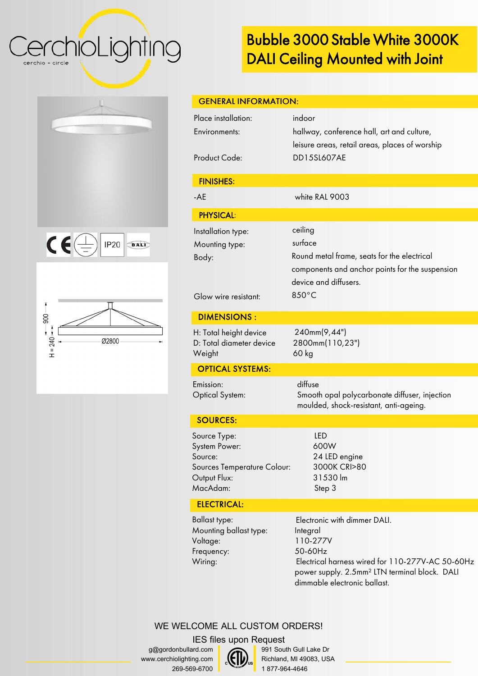### CerchioLighting cerchio = circle

## Bubble 3000 Stable White 3000K DALI Ceiling Mounted with Joint







| Place installation:<br>indoor<br>hallway, conference hall, art and culture,<br>Environments:<br>leisure areas, retail areas, places of worship<br><b>Product Code:</b><br><b>DD15SL607AE</b><br><b>FINISHES:</b><br>white RAL 9003<br>$-AE$<br><b>PHYSICAL:</b><br>ceiling<br>Installation type:<br>surface<br>Mounting type:<br>Round metal frame, seats for the electrical<br>Body:<br>components and anchor points for the suspension<br>device and diffusers.<br>850°C<br>Glow wire resistant:<br><b>DIMENSIONS:</b><br>240mm(9,44")<br>H: Total height device<br>D: Total diameter device<br>2800mm(110,23")<br>60 kg<br>Weight<br><b>OPTICAL SYSTEMS:</b><br>diffuse<br>Emission:<br><b>Optical System:</b><br>Smooth opal polycarbonate diffuser, injection<br>moulded, shock-resistant, anti-ageing.<br><b>SOURCES:</b><br><b>LED</b><br>600W<br>24 LED engine<br>3000K CRI>80<br>31530 lm | <b>GENERAL INFORMATION:</b> |  |
|----------------------------------------------------------------------------------------------------------------------------------------------------------------------------------------------------------------------------------------------------------------------------------------------------------------------------------------------------------------------------------------------------------------------------------------------------------------------------------------------------------------------------------------------------------------------------------------------------------------------------------------------------------------------------------------------------------------------------------------------------------------------------------------------------------------------------------------------------------------------------------------------------|-----------------------------|--|
| Source Type:<br>System Power:<br>Source:<br>Sources Temperature Colour:                                                                                                                                                                                                                                                                                                                                                                                                                                                                                                                                                                                                                                                                                                                                                                                                                            |                             |  |
|                                                                                                                                                                                                                                                                                                                                                                                                                                                                                                                                                                                                                                                                                                                                                                                                                                                                                                    |                             |  |
|                                                                                                                                                                                                                                                                                                                                                                                                                                                                                                                                                                                                                                                                                                                                                                                                                                                                                                    |                             |  |
|                                                                                                                                                                                                                                                                                                                                                                                                                                                                                                                                                                                                                                                                                                                                                                                                                                                                                                    |                             |  |
|                                                                                                                                                                                                                                                                                                                                                                                                                                                                                                                                                                                                                                                                                                                                                                                                                                                                                                    |                             |  |
|                                                                                                                                                                                                                                                                                                                                                                                                                                                                                                                                                                                                                                                                                                                                                                                                                                                                                                    |                             |  |
|                                                                                                                                                                                                                                                                                                                                                                                                                                                                                                                                                                                                                                                                                                                                                                                                                                                                                                    |                             |  |
|                                                                                                                                                                                                                                                                                                                                                                                                                                                                                                                                                                                                                                                                                                                                                                                                                                                                                                    |                             |  |
|                                                                                                                                                                                                                                                                                                                                                                                                                                                                                                                                                                                                                                                                                                                                                                                                                                                                                                    |                             |  |
|                                                                                                                                                                                                                                                                                                                                                                                                                                                                                                                                                                                                                                                                                                                                                                                                                                                                                                    |                             |  |
| MacAdam:<br>Step 3<br><b>ELECTRICAL:</b>                                                                                                                                                                                                                                                                                                                                                                                                                                                                                                                                                                                                                                                                                                                                                                                                                                                           | Output Flux:                |  |

Ballast type: Mounting ballast type: Voltage: Frequency: Wiring:

Electronic with dimmer DALI. Integral 110-277V 50-60Hz Electrical harness wired for 110-277V-AC 50-60Hz power supply. 2.5mm² LTN terminal block. DALI dimmable electronic ballast.